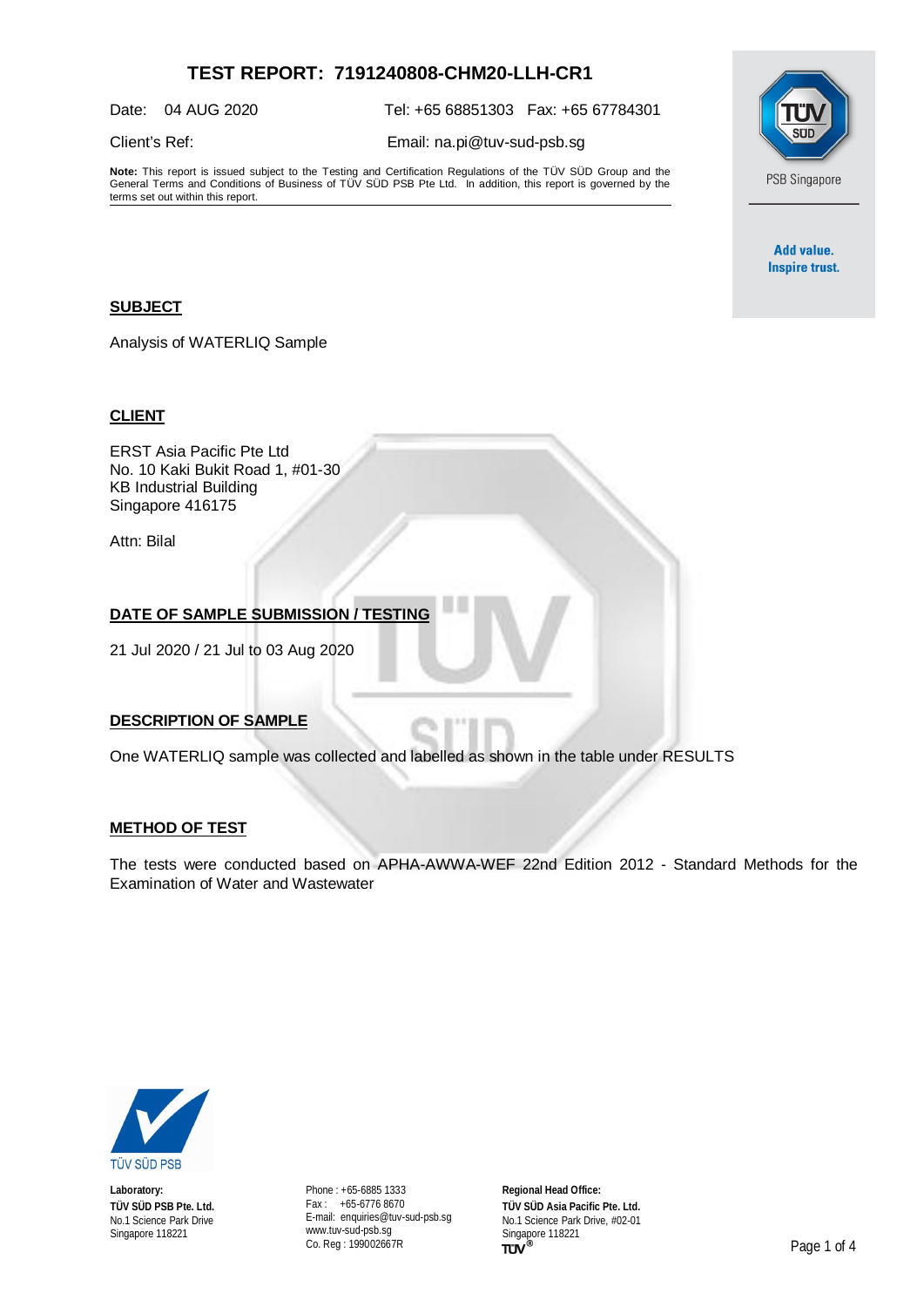# **TEST REPORT: 7191240808-CHM20-LLH-CR1**

Date: 04 AUG 2020 Tel: +65 68851303 Fax: +65 67784301

Client's Ref: Email: [na.pi@tuv-sud-psb.sg](mailto:na.pi@tuv-sud-psb.sg)

**Note:** This report is issued subject to the Testing and Certification Regulations of the TÜV SÜD Group and the General Terms and Conditions of Business of TÜV SÜD PSB Pte Ltd. In addition, this report is governed by the terms set out within this report.



Add value. **Inspire trust.** 

### **SUBJECT**

Analysis of WATERLIQ Sample

### **CLIENT**

ERST Asia Pacific Pte Ltd No. 10 Kaki Bukit Road 1, #01-30 KB Industrial Building Singapore 416175

Attn: Bilal

# **DATE OF SAMPLE SUBMISSION / TESTING**

21 Jul 2020 / 21 Jul to 03 Aug 2020

#### **DESCRIPTION OF SAMPLE**

One WATERLIQ sample was collected and labelled as shown in the table under RESULTS

#### **METHOD OF TEST**

The tests were conducted based on APHA-AWWA-WEF 22nd Edition 2012 - Standard Methods for the Examination of Water and Wastewater



**Laboratory: TÜV SÜD PSB Pte. Ltd.** No.1 Science Park Drive Singapore 118221

Phone : +65-6885 1333 Fax : +65-6776 8670 E-mail: [enquiries@tuv-sud-psb.sg](mailto:enquiries@tuv-sud-psb.sg) [www.tuv-sud-psb.sg](http://www.tuv-sud-psb.sg/) Co. Reg : 199002667R

**Regional Head Office: TÜV SÜD Asia Pacific Pte. Ltd.** No.1 Science Park Drive, #02-01 Singapore 118221<br>TUV<sup>®</sup>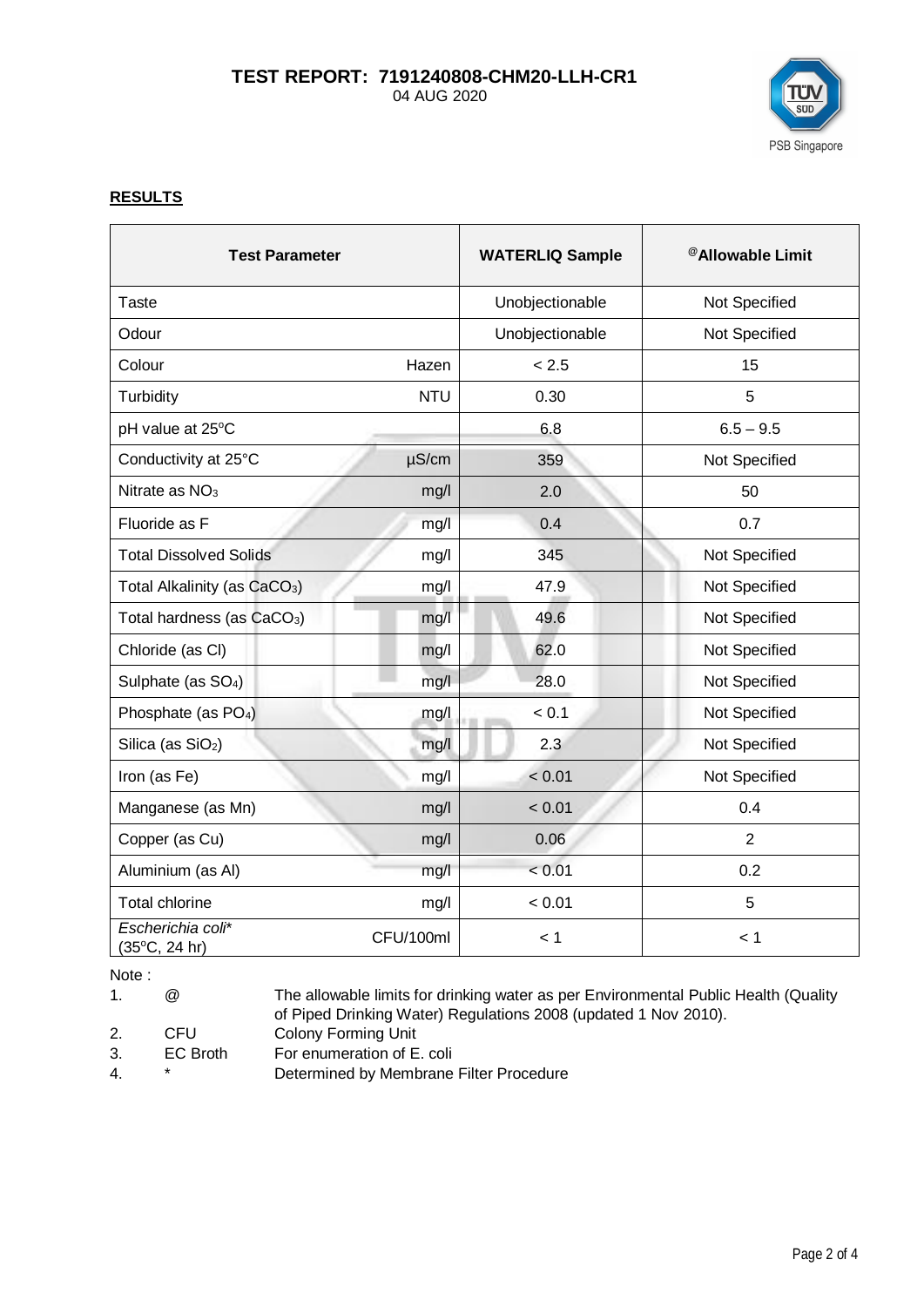# **TEST REPORT: 7191240808-CHM20-LLH-CR1** 04 AUG 2020



## **RESULTS**

| <b>Test Parameter</b>                       |            | <b>WATERLIQ Sample</b> | <sup>@</sup> Allowable Limit |
|---------------------------------------------|------------|------------------------|------------------------------|
| <b>Taste</b>                                |            | Unobjectionable        | Not Specified                |
| Odour                                       |            | Unobjectionable        | Not Specified                |
| Colour                                      | Hazen      | < 2.5                  | 15                           |
| Turbidity                                   | <b>NTU</b> | 0.30                   | 5                            |
| pH value at 25°C                            |            | 6.8                    | $6.5 - 9.5$                  |
| Conductivity at 25°C                        | $\mu$ S/cm | 359                    | Not Specified                |
| Nitrate as $NO3$                            | mg/l       | 2.0                    | 50                           |
| Fluoride as F                               | mg/l       | 0.4                    | 0.7                          |
| <b>Total Dissolved Solids</b>               | mg/l       | 345                    | Not Specified                |
| Total Alkalinity (as CaCO <sub>3</sub> )    | mg/l       | 47.9                   | Not Specified                |
| Total hardness (as CaCO <sub>3</sub> )      | mg/l       | 49.6                   | Not Specified                |
| Chloride (as CI)                            | mg/l       | 62.0                   | Not Specified                |
| Sulphate (as SO <sub>4</sub> )              | mg/l       | 28.0                   | Not Specified                |
| Phosphate (as PO <sub>4</sub> )             | mg/l       | < 0.1                  | Not Specified                |
| Silica (as SiO <sub>2</sub> )               | mg/l       | 2.3                    | Not Specified                |
| Iron (as Fe)                                | mg/l       | < 0.01                 | Not Specified                |
| Manganese (as Mn)                           | mg/l       | < 0.01                 | 0.4                          |
| Copper (as Cu)                              | mg/l       | 0.06                   | $\overline{2}$               |
| Aluminium (as Al)                           | mg/l       | < 0.01                 | 0.2                          |
| <b>Total chlorine</b>                       | mg/l       | < 0.01                 | 5                            |
| Escherichia coli*<br>$(35^{\circ}C, 24 hr)$ | CFU/100ml  | < 1                    | < 1                          |

Note :

1. @ The allowable limits for drinking water as per Environmental Public Health (Quality of Piped Drinking Water) Regulations 2008 (updated 1 Nov 2010).

- 2. CFU Colony Forming Unit
- 3. EC Broth For enumeration of E. coli
- 
- 4. \* Determined by Membrane Filter Procedure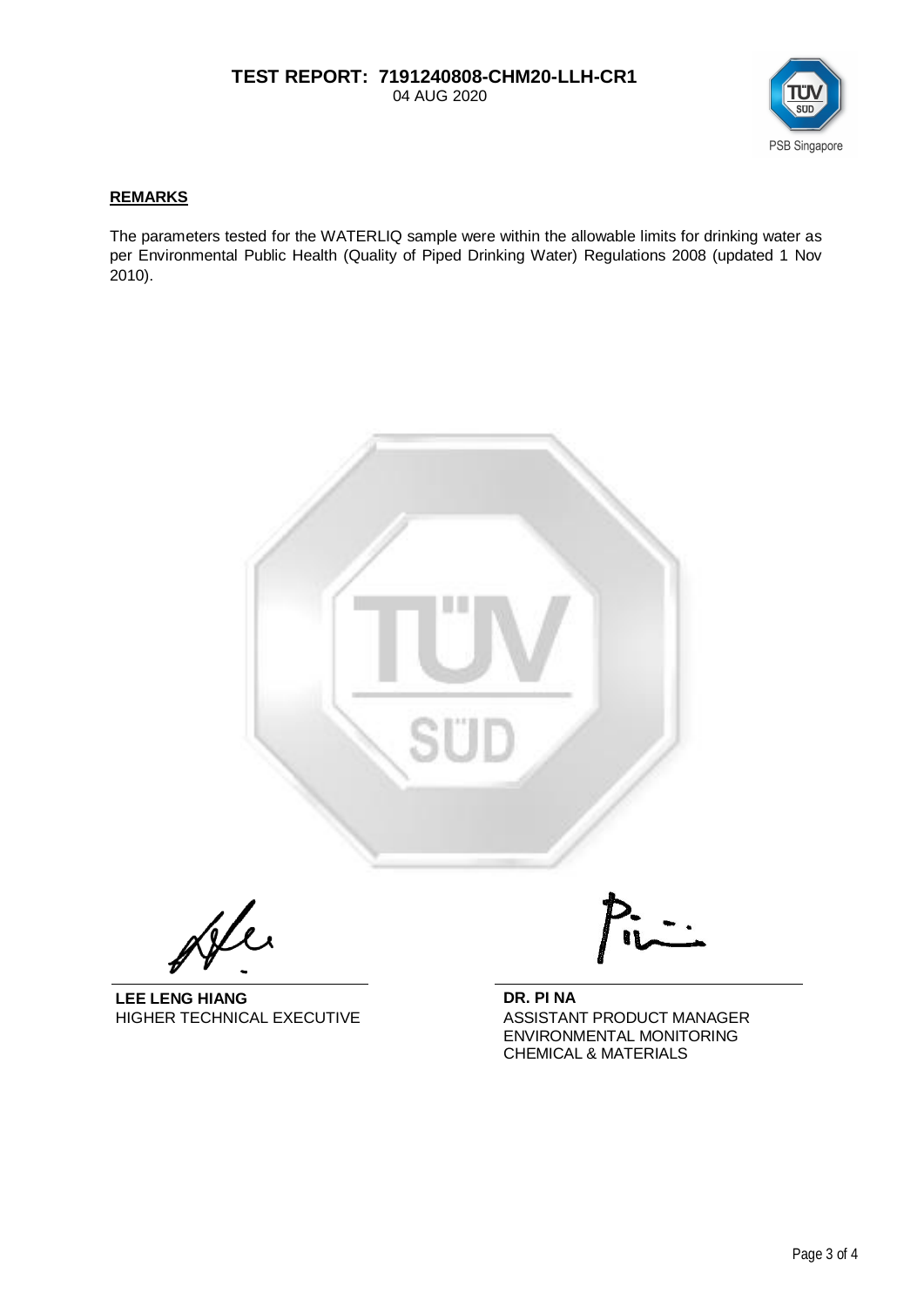## **TEST REPORT: 7191240808-CHM20-LLH-CR1** 04 AUG 2020



### **REMARKS**

The parameters tested for the WATERLIQ sample were within the allowable limits for drinking water as per Environmental Public Health (Quality of Piped Drinking Water) Regulations 2008 (updated 1 Nov 2010).



Jele

**LEE LENG HIANG DR. PI NA**

HIGHER TECHNICAL EXECUTIVE ASSISTANT PRODUCT MANAGER ENVIRONMENTAL MONITORING CHEMICAL & MATERIALS